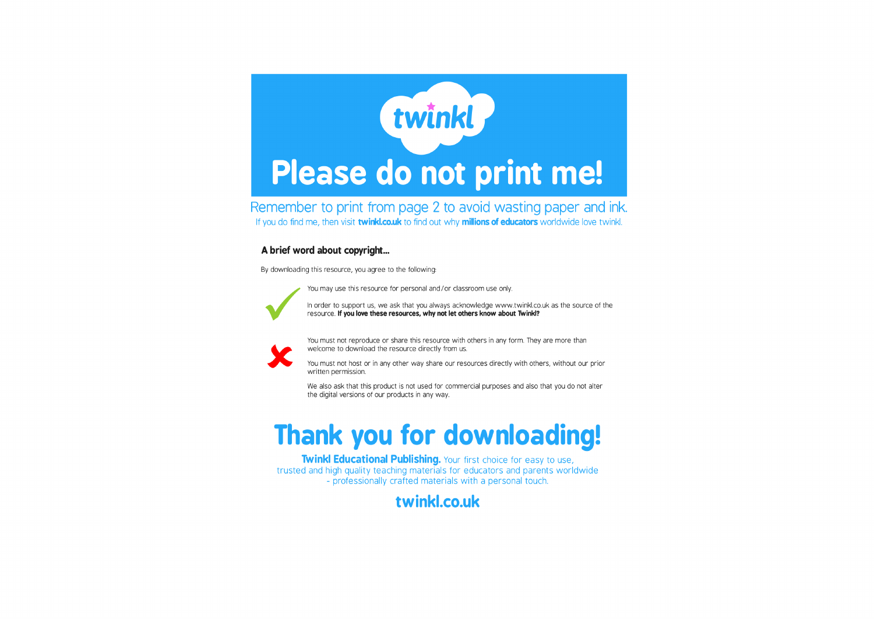

Remember to print from page 2 to avoid wasting paper and ink. If you do find me, then visit twinkl.co.uk to find out why millions of educators worldwide love twinkl.

## A brief word about copyright...

By downloading this resource, you agree to the following:

You may use this resource for personal and/or classroom use only.



In order to support us, we ask that you always acknowledge www.twinkl.co.uk as the source of the resource. If you love these resources, why not let others know about Twinkl?



You must not reproduce or share this resource with others in any form. They are more than welcome to download the resource directly from us.

You must not host or in any other way share our resources directly with others, without our prior written permission.

We also ask that this product is not used for commercial purposes and also that you do not alter the digital versions of our products in any way.

## **Thank you for downloading!**

Twinkl Educational Publishing. Your first choice for easy to use, trusted and high quality teaching materials for educators and parents worldwide - professionally crafted materials with a personal touch.